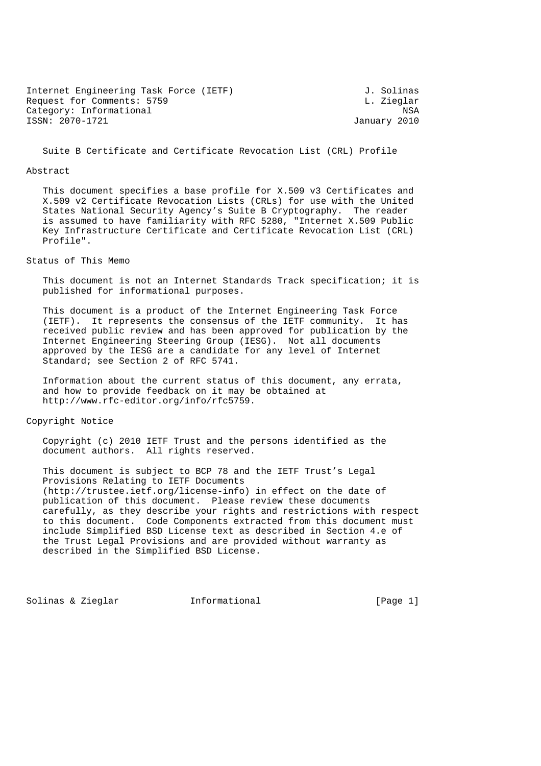| Internet Engineering Task Force (IETF) | J. Solinas   |
|----------------------------------------|--------------|
| Request for Comments: 5759             | L. Zieglar   |
| Category: Informational                | NSA          |
| ISSN: 2070-1721                        | January 2010 |

Suite B Certificate and Certificate Revocation List (CRL) Profile

#### Abstract

 This document specifies a base profile for X.509 v3 Certificates and X.509 v2 Certificate Revocation Lists (CRLs) for use with the United States National Security Agency's Suite B Cryptography. The reader is assumed to have familiarity with RFC 5280, "Internet X.509 Public Key Infrastructure Certificate and Certificate Revocation List (CRL) Profile".

#### Status of This Memo

 This document is not an Internet Standards Track specification; it is published for informational purposes.

 This document is a product of the Internet Engineering Task Force (IETF). It represents the consensus of the IETF community. It has received public review and has been approved for publication by the Internet Engineering Steering Group (IESG). Not all documents approved by the IESG are a candidate for any level of Internet Standard; see Section 2 of RFC 5741.

 Information about the current status of this document, any errata, and how to provide feedback on it may be obtained at http://www.rfc-editor.org/info/rfc5759.

## Copyright Notice

 Copyright (c) 2010 IETF Trust and the persons identified as the document authors. All rights reserved.

 This document is subject to BCP 78 and the IETF Trust's Legal Provisions Relating to IETF Documents (http://trustee.ietf.org/license-info) in effect on the date of publication of this document. Please review these documents carefully, as they describe your rights and restrictions with respect to this document. Code Components extracted from this document must include Simplified BSD License text as described in Section 4.e of the Trust Legal Provisions and are provided without warranty as described in the Simplified BSD License.

Solinas & Zieglar Informational [Page 1]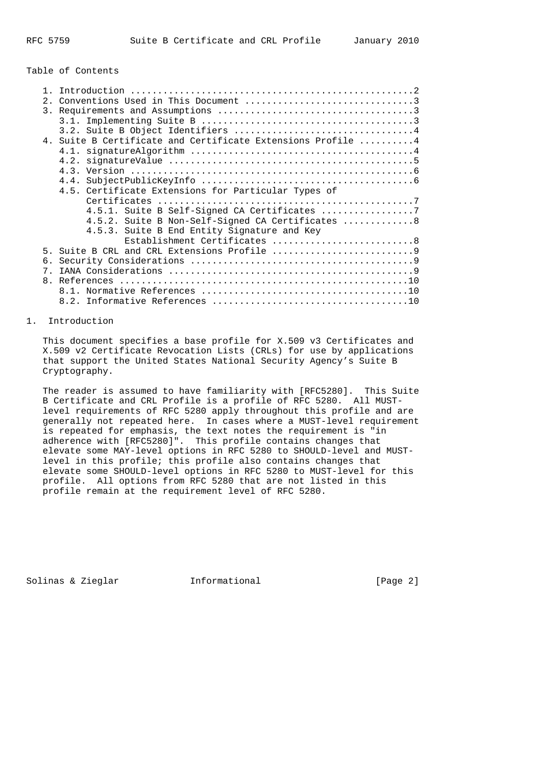### Table of Contents

| 2.             |                                                             |
|----------------|-------------------------------------------------------------|
|                |                                                             |
|                |                                                             |
|                |                                                             |
|                | 4. Suite B Certificate and Certificate Extensions Profile 4 |
|                |                                                             |
|                |                                                             |
|                |                                                             |
|                |                                                             |
|                | 4.5. Certificate Extensions for Particular Types of         |
|                |                                                             |
|                |                                                             |
|                | 4.5.2. Suite B Non-Self-Signed CA Certificates 8            |
|                | 4.5.3. Suite B End Entity Signature and Key                 |
|                | Establishment Certificates 8                                |
| 5              |                                                             |
| б.             |                                                             |
| 7              |                                                             |
| 8 <sub>1</sub> |                                                             |
|                |                                                             |
|                |                                                             |

## 1. Introduction

 This document specifies a base profile for X.509 v3 Certificates and X.509 v2 Certificate Revocation Lists (CRLs) for use by applications that support the United States National Security Agency's Suite B Cryptography.

 The reader is assumed to have familiarity with [RFC5280]. This Suite B Certificate and CRL Profile is a profile of RFC 5280. All MUST level requirements of RFC 5280 apply throughout this profile and are generally not repeated here. In cases where a MUST-level requirement is repeated for emphasis, the text notes the requirement is "in adherence with [RFC5280]". This profile contains changes that elevate some MAY-level options in RFC 5280 to SHOULD-level and MUST level in this profile; this profile also contains changes that elevate some SHOULD-level options in RFC 5280 to MUST-level for this profile. All options from RFC 5280 that are not listed in this profile remain at the requirement level of RFC 5280.

Solinas & Zieglar **Informational** [Page 2]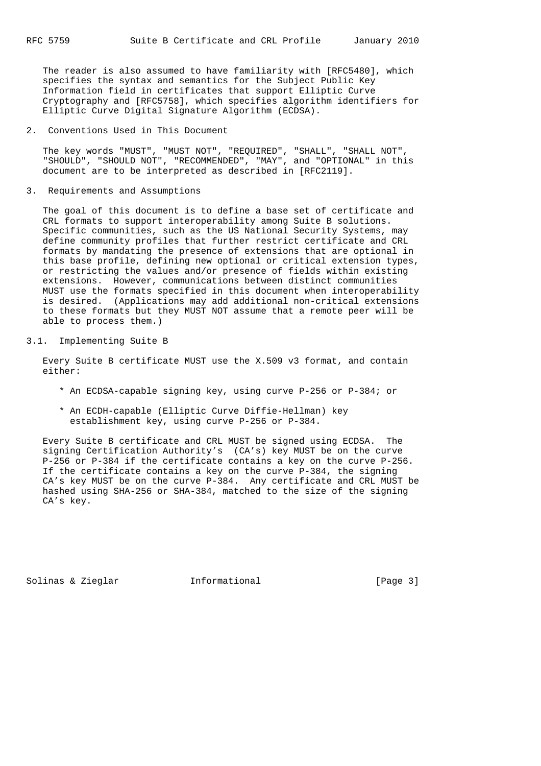The reader is also assumed to have familiarity with [RFC5480], which specifies the syntax and semantics for the Subject Public Key Information field in certificates that support Elliptic Curve Cryptography and [RFC5758], which specifies algorithm identifiers for Elliptic Curve Digital Signature Algorithm (ECDSA).

2. Conventions Used in This Document

 The key words "MUST", "MUST NOT", "REQUIRED", "SHALL", "SHALL NOT", "SHOULD", "SHOULD NOT", "RECOMMENDED", "MAY", and "OPTIONAL" in this document are to be interpreted as described in [RFC2119].

3. Requirements and Assumptions

 The goal of this document is to define a base set of certificate and CRL formats to support interoperability among Suite B solutions. Specific communities, such as the US National Security Systems, may define community profiles that further restrict certificate and CRL formats by mandating the presence of extensions that are optional in this base profile, defining new optional or critical extension types, or restricting the values and/or presence of fields within existing extensions. However, communications between distinct communities MUST use the formats specified in this document when interoperability is desired. (Applications may add additional non-critical extensions to these formats but they MUST NOT assume that a remote peer will be able to process them.)

3.1. Implementing Suite B

 Every Suite B certificate MUST use the X.509 v3 format, and contain either:

- \* An ECDSA-capable signing key, using curve P-256 or P-384; or
- \* An ECDH-capable (Elliptic Curve Diffie-Hellman) key establishment key, using curve P-256 or P-384.

 Every Suite B certificate and CRL MUST be signed using ECDSA. The signing Certification Authority's (CA's) key MUST be on the curve P-256 or P-384 if the certificate contains a key on the curve P-256. If the certificate contains a key on the curve P-384, the signing CA's key MUST be on the curve P-384. Any certificate and CRL MUST be hashed using SHA-256 or SHA-384, matched to the size of the signing CA's key.

Solinas & Zieglar Informational [Page 3]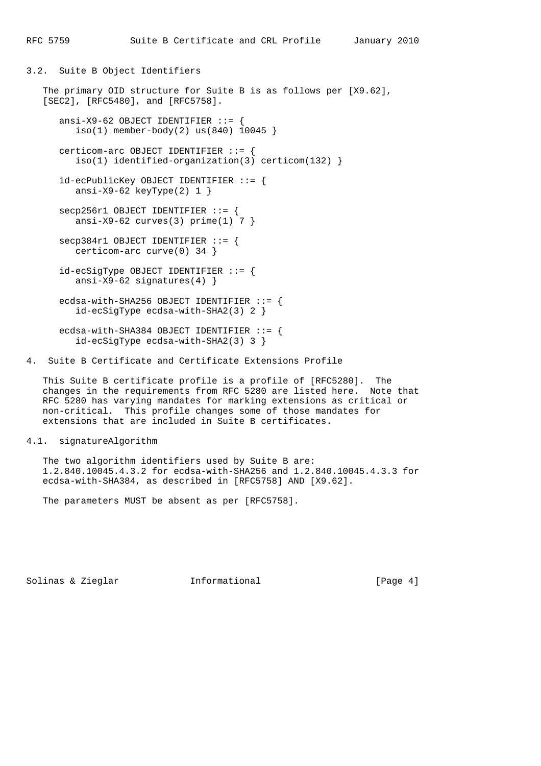3.2. Suite B Object Identifiers

```
 The primary OID structure for Suite B is as follows per [X9.62],
[SEC2], [RFC5480], and [RFC5758].
  ansi-X9-62 OBJECT IDENTIFIER ::= {
    iso(1) member-body(2) us(840) 10045 }
   certicom-arc OBJECT IDENTIFIER ::= {
      iso(1) identified-organization(3) certicom(132) }
```
 id-ecPublicKey OBJECT IDENTIFIER ::= { ansi-X9-62 keyType(2) 1 }

 secp256r1 OBJECT IDENTIFIER ::= { ansi-X9-62 curves(3)  $prime(1)$  7 }

 secp384r1 OBJECT IDENTIFIER ::= { certicom-arc curve(0) 34 }

 id-ecSigType OBJECT IDENTIFIER ::= { ansi-X9-62 signatures(4) }

ecdsa-with-SHA256 OBJECT IDENTIFIER  $::=$  { id-ecSigType ecdsa-with-SHA2(3) 2 }

ecdsa-with-SHA384 OBJECT IDENTIFIER  $::=$  { id-ecSigType ecdsa-with-SHA2(3) 3 }

4. Suite B Certificate and Certificate Extensions Profile

 This Suite B certificate profile is a profile of [RFC5280]. The changes in the requirements from RFC 5280 are listed here. Note that RFC 5280 has varying mandates for marking extensions as critical or non-critical. This profile changes some of those mandates for extensions that are included in Suite B certificates.

#### 4.1. signatureAlgorithm

 The two algorithm identifiers used by Suite B are: 1.2.840.10045.4.3.2 for ecdsa-with-SHA256 and 1.2.840.10045.4.3.3 for ecdsa-with-SHA384, as described in [RFC5758] AND [X9.62].

The parameters MUST be absent as per [RFC5758].

Solinas & Zieglar Informational [Page 4]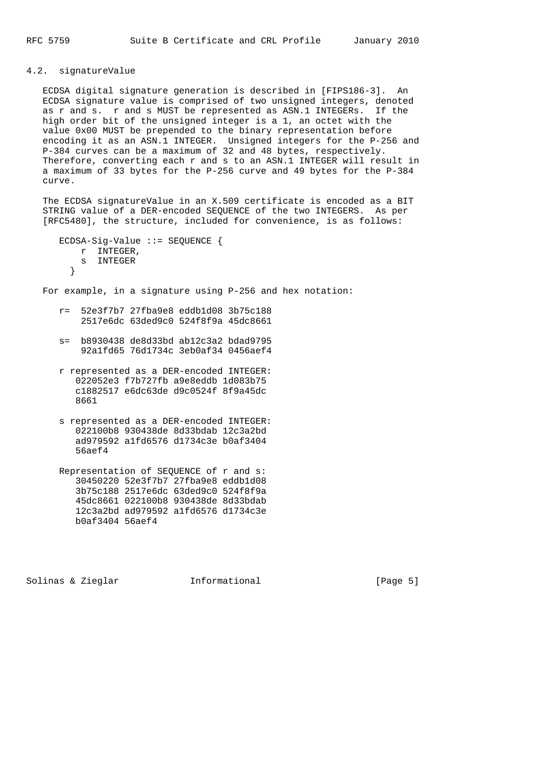# 4.2. signatureValue

 ECDSA digital signature generation is described in [FIPS186-3]. An ECDSA signature value is comprised of two unsigned integers, denoted as r and s. r and s MUST be represented as ASN.1 INTEGERs. If the high order bit of the unsigned integer is a 1, an octet with the value 0x00 MUST be prepended to the binary representation before encoding it as an ASN.1 INTEGER. Unsigned integers for the P-256 and P-384 curves can be a maximum of 32 and 48 bytes, respectively. Therefore, converting each r and s to an ASN.1 INTEGER will result in a maximum of 33 bytes for the P-256 curve and 49 bytes for the P-384 curve.

 The ECDSA signatureValue in an X.509 certificate is encoded as a BIT STRING value of a DER-encoded SEQUENCE of the two INTEGERS. As per [RFC5480], the structure, included for convenience, is as follows:

```
 ECDSA-Sig-Value ::= SEQUENCE {
       r INTEGER,
      s INTEGER<br>}
}
```
For example, in a signature using P-256 and hex notation:

- r= 52e3f7b7 27fba9e8 eddb1d08 3b75c188 2517e6dc 63ded9c0 524f8f9a 45dc8661
- s= b8930438 de8d33bd ab12c3a2 bdad9795 92a1fd65 76d1734c 3eb0af34 0456aef4
- r represented as a DER-encoded INTEGER: 022052e3 f7b727fb a9e8eddb 1d083b75 c1882517 e6dc63de d9c0524f 8f9a45dc 8661
- s represented as a DER-encoded INTEGER: 022100b8 930438de 8d33bdab 12c3a2bd ad979592 a1fd6576 d1734c3e b0af3404 56aef4
- Representation of SEQUENCE of r and s: 30450220 52e3f7b7 27fba9e8 eddb1d08 3b75c188 2517e6dc 63ded9c0 524f8f9a 45dc8661 022100b8 930438de 8d33bdab 12c3a2bd ad979592 a1fd6576 d1734c3e b0af3404 56aef4

Solinas & Zieglar Informational [Page 5]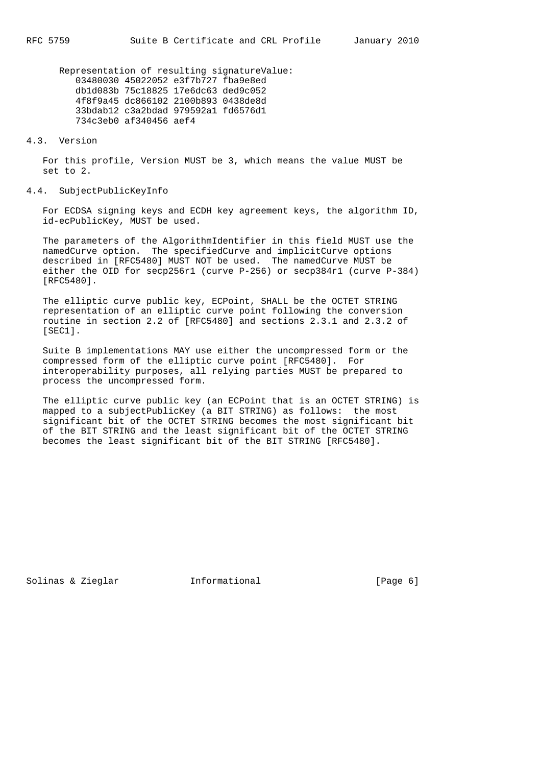Representation of resulting signatureValue: 03480030 45022052 e3f7b727 fba9e8ed db1d083b 75c18825 17e6dc63 ded9c052 4f8f9a45 dc866102 2100b893 0438de8d 33bdab12 c3a2bdad 979592a1 fd6576d1 734c3eb0 af340456 aef4

4.3. Version

 For this profile, Version MUST be 3, which means the value MUST be set to 2.

#### 4.4. SubjectPublicKeyInfo

 For ECDSA signing keys and ECDH key agreement keys, the algorithm ID, id-ecPublicKey, MUST be used.

 The parameters of the AlgorithmIdentifier in this field MUST use the namedCurve option. The specifiedCurve and implicitCurve options described in [RFC5480] MUST NOT be used. The namedCurve MUST be either the OID for secp256r1 (curve P-256) or secp384r1 (curve P-384) [RFC5480].

 The elliptic curve public key, ECPoint, SHALL be the OCTET STRING representation of an elliptic curve point following the conversion routine in section 2.2 of [RFC5480] and sections 2.3.1 and 2.3.2 of [SEC1].

 Suite B implementations MAY use either the uncompressed form or the compressed form of the elliptic curve point [RFC5480]. For interoperability purposes, all relying parties MUST be prepared to process the uncompressed form.

 The elliptic curve public key (an ECPoint that is an OCTET STRING) is mapped to a subjectPublicKey (a BIT STRING) as follows: the most significant bit of the OCTET STRING becomes the most significant bit of the BIT STRING and the least significant bit of the OCTET STRING becomes the least significant bit of the BIT STRING [RFC5480].

Solinas & Zieglar **Informational** [Page 6]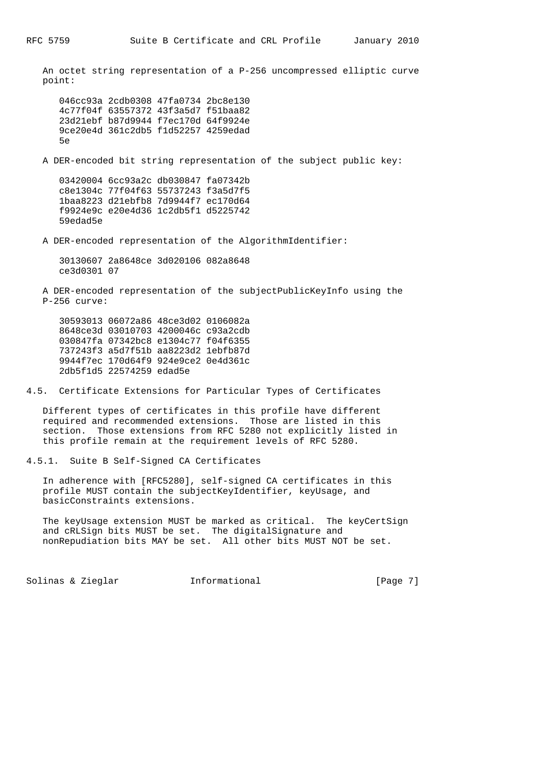An octet string representation of a P-256 uncompressed elliptic curve point: 046cc93a 2cdb0308 47fa0734 2bc8e130 4c77f04f 63557372 43f3a5d7 f51baa82 23d21ebf b87d9944 f7ec170d 64f9924e 9ce20e4d 361c2db5 f1d52257 4259edad 5e A DER-encoded bit string representation of the subject public key: 03420004 6cc93a2c db030847 fa07342b c8e1304c 77f04f63 55737243 f3a5d7f5 1baa8223 d21ebfb8 7d9944f7 ec170d64 f9924e9c e20e4d36 1c2db5f1 d5225742 59edad5e A DER-encoded representation of the AlgorithmIdentifier: 30130607 2a8648ce 3d020106 082a8648 ce3d0301 07 A DER-encoded representation of the subjectPublicKeyInfo using the P-256 curve: 30593013 06072a86 48ce3d02 0106082a 8648ce3d 03010703 4200046c c93a2cdb 030847fa 07342bc8 e1304c77 f04f6355 737243f3 a5d7f51b aa8223d2 1ebfb87d 9944f7ec 170d64f9 924e9ce2 0e4d361c 2db5f1d5 22574259 edad5e 4.5. Certificate Extensions for Particular Types of Certificates Different types of certificates in this profile have different required and recommended extensions. Those are listed in this section. Those extensions from RFC 5280 not explicitly listed in this profile remain at the requirement levels of RFC 5280. 4.5.1. Suite B Self-Signed CA Certificates

 In adherence with [RFC5280], self-signed CA certificates in this profile MUST contain the subjectKeyIdentifier, keyUsage, and basicConstraints extensions.

 The keyUsage extension MUST be marked as critical. The keyCertSign and cRLSign bits MUST be set. The digitalSignature and nonRepudiation bits MAY be set. All other bits MUST NOT be set.

Solinas & Zieglar **Informational** [Page 7]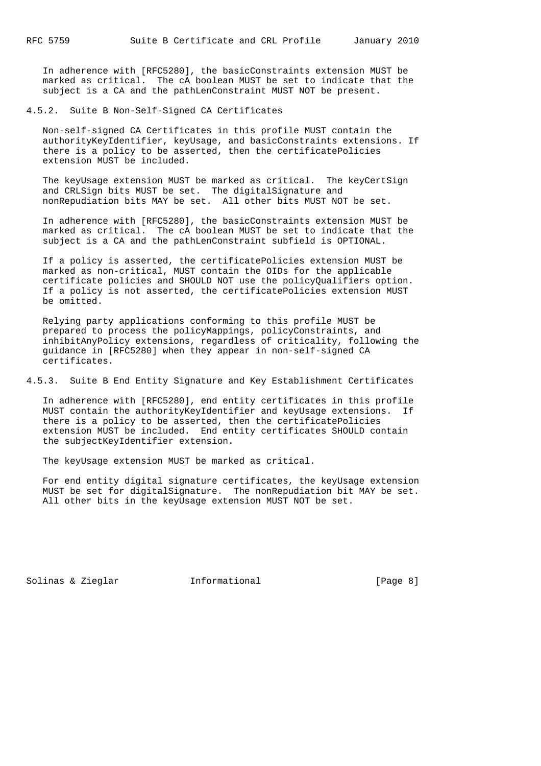In adherence with [RFC5280], the basicConstraints extension MUST be marked as critical. The cA boolean MUST be set to indicate that the subject is a CA and the pathLenConstraint MUST NOT be present.

4.5.2. Suite B Non-Self-Signed CA Certificates

 Non-self-signed CA Certificates in this profile MUST contain the authorityKeyIdentifier, keyUsage, and basicConstraints extensions. If there is a policy to be asserted, then the certificatePolicies extension MUST be included.

 The keyUsage extension MUST be marked as critical. The keyCertSign and CRLSign bits MUST be set. The digitalSignature and nonRepudiation bits MAY be set. All other bits MUST NOT be set.

 In adherence with [RFC5280], the basicConstraints extension MUST be marked as critical. The cA boolean MUST be set to indicate that the subject is a CA and the pathLenConstraint subfield is OPTIONAL.

 If a policy is asserted, the certificatePolicies extension MUST be marked as non-critical, MUST contain the OIDs for the applicable certificate policies and SHOULD NOT use the policyQualifiers option. If a policy is not asserted, the certificatePolicies extension MUST be omitted.

 Relying party applications conforming to this profile MUST be prepared to process the policyMappings, policyConstraints, and inhibitAnyPolicy extensions, regardless of criticality, following the guidance in [RFC5280] when they appear in non-self-signed CA certificates.

4.5.3. Suite B End Entity Signature and Key Establishment Certificates

 In adherence with [RFC5280], end entity certificates in this profile MUST contain the authorityKeyIdentifier and keyUsage extensions. If there is a policy to be asserted, then the certificatePolicies extension MUST be included. End entity certificates SHOULD contain the subjectKeyIdentifier extension.

The keyUsage extension MUST be marked as critical.

 For end entity digital signature certificates, the keyUsage extension MUST be set for digitalSignature. The nonRepudiation bit MAY be set. All other bits in the keyUsage extension MUST NOT be set.

Solinas & Zieglar **Informational** [Page 8]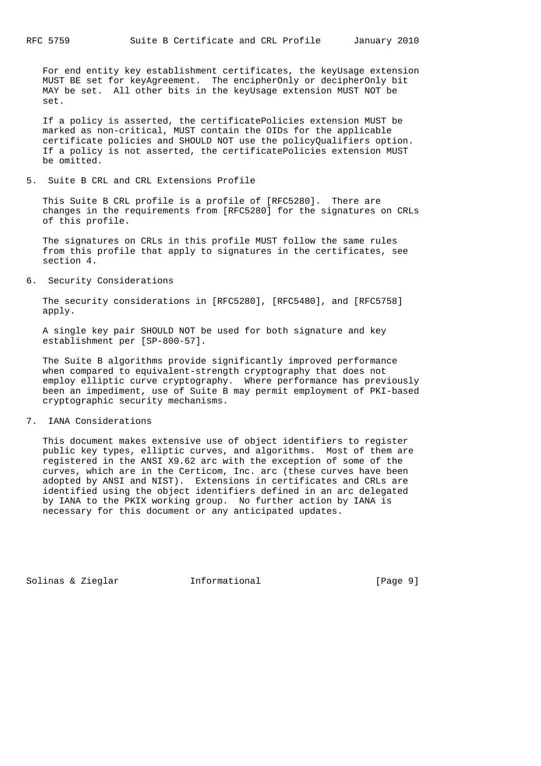For end entity key establishment certificates, the keyUsage extension MUST BE set for keyAgreement. The encipherOnly or decipherOnly bit MAY be set. All other bits in the keyUsage extension MUST NOT be set.

 If a policy is asserted, the certificatePolicies extension MUST be marked as non-critical, MUST contain the OIDs for the applicable certificate policies and SHOULD NOT use the policyQualifiers option. If a policy is not asserted, the certificatePolicies extension MUST be omitted.

5. Suite B CRL and CRL Extensions Profile

 This Suite B CRL profile is a profile of [RFC5280]. There are changes in the requirements from [RFC5280] for the signatures on CRLs of this profile.

 The signatures on CRLs in this profile MUST follow the same rules from this profile that apply to signatures in the certificates, see section 4.

6. Security Considerations

 The security considerations in [RFC5280], [RFC5480], and [RFC5758] apply.

 A single key pair SHOULD NOT be used for both signature and key establishment per [SP-800-57].

 The Suite B algorithms provide significantly improved performance when compared to equivalent-strength cryptography that does not employ elliptic curve cryptography. Where performance has previously been an impediment, use of Suite B may permit employment of PKI-based cryptographic security mechanisms.

7. IANA Considerations

 This document makes extensive use of object identifiers to register public key types, elliptic curves, and algorithms. Most of them are registered in the ANSI X9.62 arc with the exception of some of the curves, which are in the Certicom, Inc. arc (these curves have been adopted by ANSI and NIST). Extensions in certificates and CRLs are identified using the object identifiers defined in an arc delegated by IANA to the PKIX working group. No further action by IANA is necessary for this document or any anticipated updates.

Solinas & Zieglar Informational [Page 9]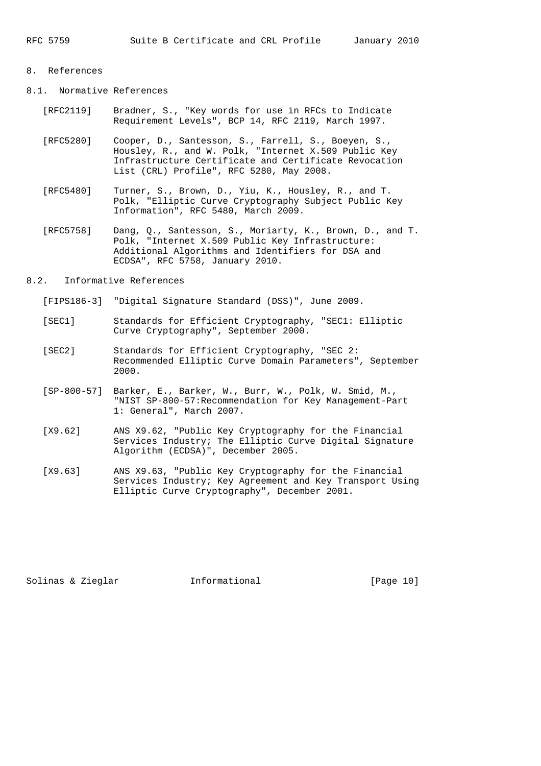### 8. References

- 8.1. Normative References
	- [RFC2119] Bradner, S., "Key words for use in RFCs to Indicate Requirement Levels", BCP 14, RFC 2119, March 1997.
	- [RFC5280] Cooper, D., Santesson, S., Farrell, S., Boeyen, S., Housley, R., and W. Polk, "Internet X.509 Public Key Infrastructure Certificate and Certificate Revocation List (CRL) Profile", RFC 5280, May 2008.
	- [RFC5480] Turner, S., Brown, D., Yiu, K., Housley, R., and T. Polk, "Elliptic Curve Cryptography Subject Public Key Information", RFC 5480, March 2009.
	- [RFC5758] Dang, Q., Santesson, S., Moriarty, K., Brown, D., and T. Polk, "Internet X.509 Public Key Infrastructure: Additional Algorithms and Identifiers for DSA and ECDSA", RFC 5758, January 2010.
- 8.2. Informative References
	- [FIPS186-3] "Digital Signature Standard (DSS)", June 2009.
	- [SEC1] Standards for Efficient Cryptography, "SEC1: Elliptic Curve Cryptography", September 2000.
	- [SEC2] Standards for Efficient Cryptography, "SEC 2: Recommended Elliptic Curve Domain Parameters", September 2000.
	- [SP-800-57] Barker, E., Barker, W., Burr, W., Polk, W. Smid, M., "NIST SP-800-57:Recommendation for Key Management-Part 1: General", March 2007.
	- [X9.62] ANS X9.62, "Public Key Cryptography for the Financial Services Industry; The Elliptic Curve Digital Signature Algorithm (ECDSA)", December 2005.
	- [X9.63] ANS X9.63, "Public Key Cryptography for the Financial Services Industry; Key Agreement and Key Transport Using Elliptic Curve Cryptography", December 2001.

Solinas & Zieglar Informational [Page 10]